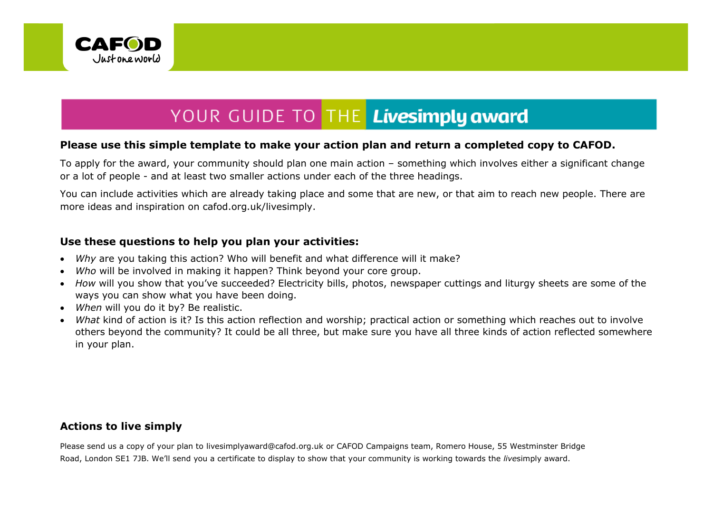

# YOUR GUIDE TO THE Livesimply award

## **Please use this simple template to make your action plan and return a completed copy to CAFOD.**

To apply for the award, your community should plan one main action – something which involves either a significant change or a lot of people - and at least two smaller actions under each of the three headings.

You can include activities which are already taking place and some that are new, or that aim to reach new people. There are more ideas and inspiration on cafod.org.uk/livesimply.

## **Use these questions to help you plan your activities:**

- *Why* are you taking this action? Who will benefit and what difference will it make?
- *Who* will be involved in making it happen? Think beyond your core group.
- *How* will you show that you've succeeded? Electricity bills, photos, newspaper cuttings and liturgy sheets are some of the ways you can show what you have been doing.
- *When* will you do it by? Be realistic.
- *What* kind of action is it? Is this action reflection and worship; practical action or something which reaches out to involve others beyond the community? It could be all three, but make sure you have all three kinds of action reflected somewhere in your plan.

# **Actions to live simply**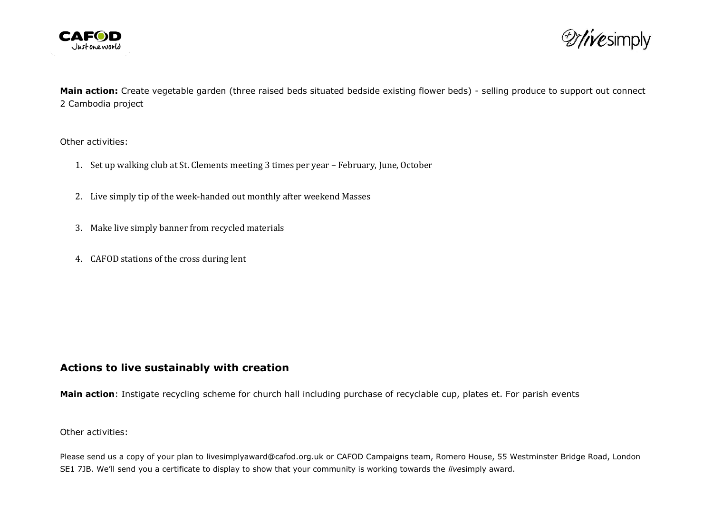



**Main action:** Create vegetable garden (three raised beds situated bedside existing flower beds) - selling produce to support out connect 2 Cambodia project

Other activities:

- 1. Set up walking club at St. Clements meeting 3 times per year February, June, October
- 2. Live simply tip of the week-handed out monthly after weekend Masses
- 3. Make live simply banner from recycled materials
- 4. CAFOD stations of the cross during lent

### **Actions to live sustainably with creation**

**Main action**: Instigate recycling scheme for church hall including purchase of recyclable cup, plates et. For parish events

Other activities: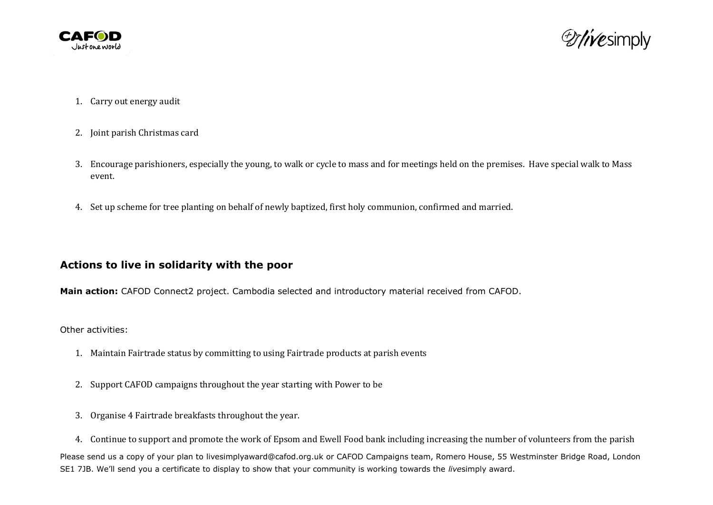



- 1. Carry out energy audit
- 2. Joint parish Christmas card
- 3. Encourage parishioners, especially the young, to walk or cycle to mass and for meetings held on the premises. Have special walk to Mass event.
- 4. Set up scheme for tree planting on behalf of newly baptized, first holy communion, confirmed and married.

### **Actions to live in solidarity with the poor**

**Main action:** CAFOD Connect2 project. Cambodia selected and introductory material received from CAFOD.

Other activities:

- 1. Maintain Fairtrade status by committing to using Fairtrade products at parish events
- 2. Support CAFOD campaigns throughout the year starting with Power to be
- 3. Organise 4 Fairtrade breakfasts throughout the year.
- 4. Continue to support and promote the work of Epsom and Ewell Food bank including increasing the number of volunteers from the parish